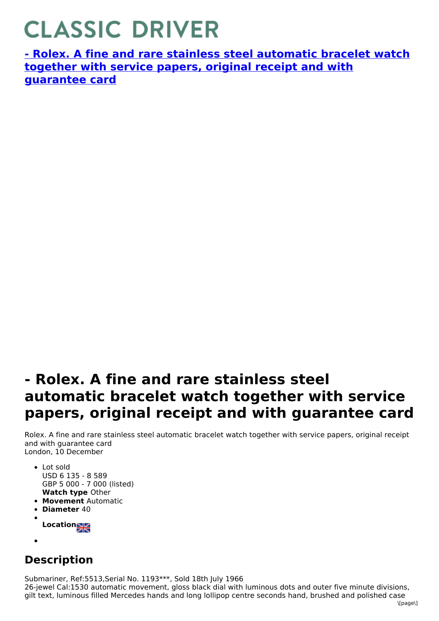## **CLASSIC DRIVER**

**- Rolex. A fine and rare stainless steel automatic bracelet watch together with service papers, original receipt and with [guarantee](https://www.classicdriver.com/en/watch/269394) card**

## **- Rolex. A fine and rare stainless steel automatic bracelet watch together with service papers, original receipt and with guarantee card**

Rolex. A fine and rare stainless steel automatic bracelet watch together with service papers, original receipt and with guarantee card London, 10 December

- **Watch type** Other • Lot sold USD 6 135 - 8 589 GBP 5 000 - 7 000 (listed)
- **Movement** Automatic
- **Diameter** 40
- **Location**
- 

## **Description**

Submariner, Ref:5513,Serial No. 1193\*\*\*, Sold 18th July 1966

26-jewel Cal:1530 automatic movement, gloss black dial with luminous dots and outer five minute divisions, gilt text, luminous filled Mercedes hands and long lollipop centre seconds hand, brushed and polished case